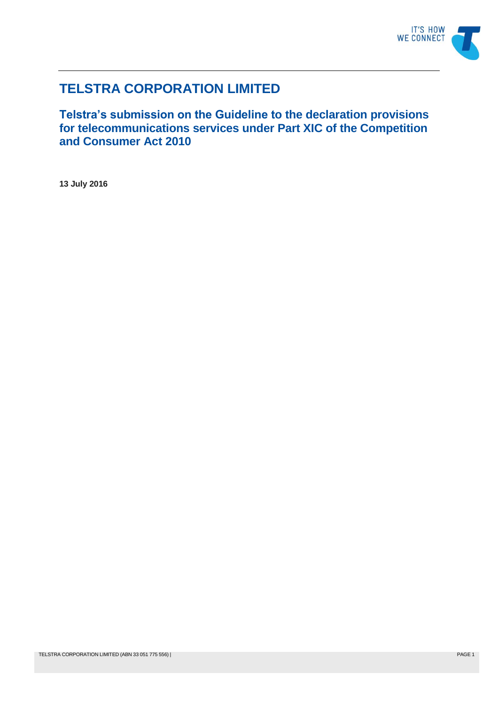

# **TELSTRA CORPORATION LIMITED**

**Telstra's submission on the Guideline to the declaration provisions for telecommunications services under Part XIC of the Competition and Consumer Act 2010**

**13 July 2016**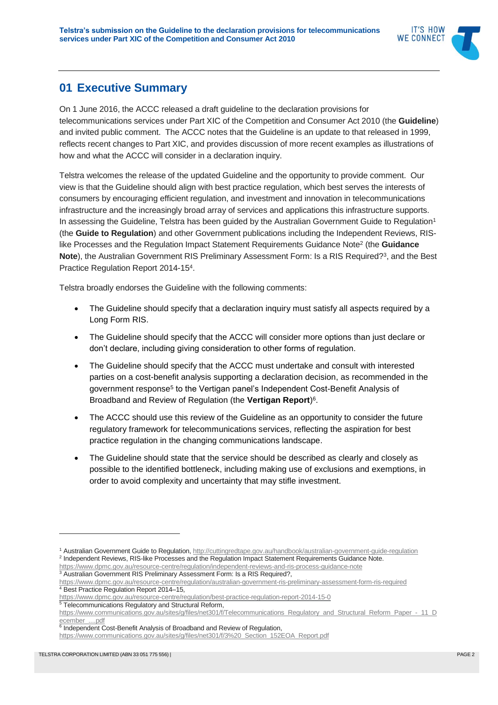

## **01 Executive Summary**

On 1 June 2016, the ACCC released a draft guideline to the declaration provisions for telecommunications services under Part XIC of the Competition and Consumer Act 2010 (the **Guideline**) and invited public comment. The ACCC notes that the Guideline is an update to that released in 1999, reflects recent changes to Part XIC, and provides discussion of more recent examples as illustrations of how and what the ACCC will consider in a declaration inquiry.

Telstra welcomes the release of the updated Guideline and the opportunity to provide comment. Our view is that the Guideline should align with best practice regulation, which best serves the interests of consumers by encouraging efficient regulation, and investment and innovation in telecommunications infrastructure and the increasingly broad array of services and applications this infrastructure supports. In assessing the Guideline, Telstra has been guided by the Australian Government Guide to Regulation<sup>1</sup> (the **Guide to Regulation**) and other Government publications including the Independent Reviews, RISlike Processes and the Regulation Impact Statement Requirements Guidance Note<sup>2</sup> (the **Guidance Note**), the Australian Government RIS Preliminary Assessment Form: Is a RIS Required?<sup>3</sup>, and the Best Practice Regulation Report 2014-15<sup>4</sup> .

Telstra broadly endorses the Guideline with the following comments:

- The Guideline should specify that a declaration inquiry must satisfy all aspects required by a Long Form RIS.
- The Guideline should specify that the ACCC will consider more options than just declare or don't declare, including giving consideration to other forms of regulation.
- The Guideline should specify that the ACCC must undertake and consult with interested parties on a cost-benefit analysis supporting a declaration decision, as recommended in the government response<sup>5</sup> to the Vertigan panel's Independent Cost-Benefit Analysis of Broadband and Review of Regulation (the **Vertigan Report**) 6 .
- The ACCC should use this review of the Guideline as an opportunity to consider the future regulatory framework for telecommunications services, reflecting the aspiration for best practice regulation in the changing communications landscape.
- The Guideline should state that the service should be described as clearly and closely as possible to the identified bottleneck, including making use of exclusions and exemptions, in order to avoid complexity and uncertainty that may stifle investment.

<sup>1</sup> Australian Government Guide to Regulation[, http://cuttingredtape.gov.au/handbook/australian-government-guide-regulation](http://cuttingredtape.gov.au/handbook/australian-government-guide-regulation) <sup>2</sup> Independent Reviews, RIS-like Processes and the Regulation Impact Statement Requirements Guidance Note. <https://www.dpmc.gov.au/resource-centre/regulation/independent-reviews-and-ris-process-guidance-note>

<sup>&</sup>lt;sup>3</sup> Australian Government RIS Preliminary Assessment Form: Is a RIS Required?,

<https://www.dpmc.gov.au/resource-centre/regulation/australian-government-ris-preliminary-assessment-form-ris-required> <sup>4</sup> Best Practice Regulation Report 2014–15,

<https://www.dpmc.gov.au/resource-centre/regulation/best-practice-regulation-report-2014-15-0> 5 Telecommunications Regulatory and Structural Reform,

[https://www.communications.gov.au/sites/g/files/net301/f/Telecommunications\\_Regulatory\\_and\\_Structural\\_Reform\\_Paper\\_-\\_11\\_D](https://www.communications.gov.au/sites/g/files/net301/f/Telecommunications_Regulatory_and_Structural_Reform_Paper_-_11_December_....pdf) ecember ....pdf

<sup>&</sup>lt;sup>6</sup> Independent Cost-Benefit Analysis of Broadband and Review of Regulation,

[https://www.communications.gov.au/sites/g/files/net301/f/3%20\\_Section\\_152EOA\\_Report.pdf](https://www.communications.gov.au/sites/g/files/net301/f/3%20_Section_152EOA_Report.pdf)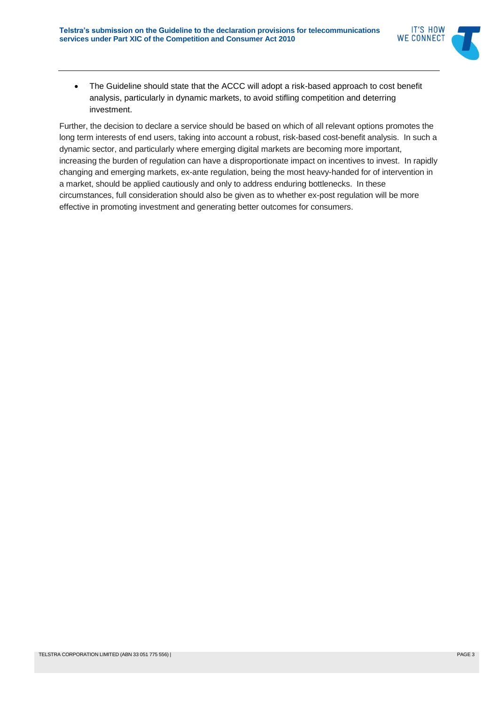

• The Guideline should state that the ACCC will adopt a risk-based approach to cost benefit analysis, particularly in dynamic markets, to avoid stifling competition and deterring investment.

Further, the decision to declare a service should be based on which of all relevant options promotes the long term interests of end users, taking into account a robust, risk-based cost-benefit analysis. In such a dynamic sector, and particularly where emerging digital markets are becoming more important, increasing the burden of regulation can have a disproportionate impact on incentives to invest. In rapidly changing and emerging markets, ex-ante regulation, being the most heavy-handed for of intervention in a market, should be applied cautiously and only to address enduring bottlenecks. In these circumstances, full consideration should also be given as to whether ex-post regulation will be more effective in promoting investment and generating better outcomes for consumers.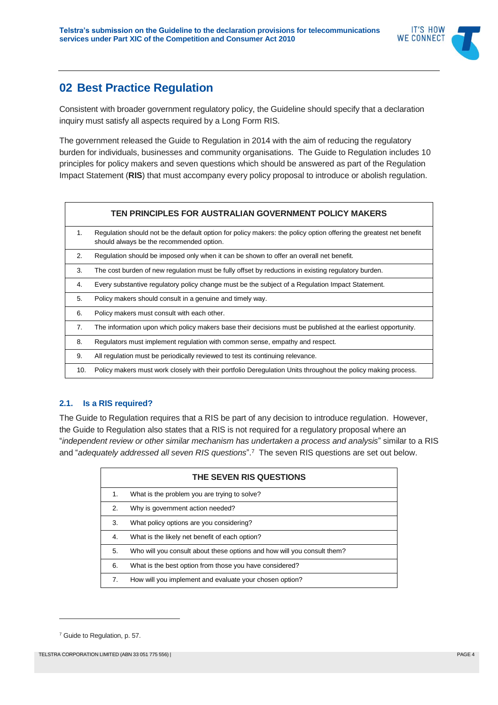

## **02 Best Practice Regulation**

Consistent with broader government regulatory policy, the Guideline should specify that a declaration inquiry must satisfy all aspects required by a Long Form RIS.

The government released the Guide to Regulation in 2014 with the aim of reducing the regulatory burden for individuals, businesses and community organisations. The Guide to Regulation includes 10 principles for policy makers and seven questions which should be answered as part of the Regulation Impact Statement (**RIS**) that must accompany every policy proposal to introduce or abolish regulation.

|         | TEN PRINCIPLES FOR AUSTRALIAN GOVERNMENT POLICY MAKERS                                                                                                         |
|---------|----------------------------------------------------------------------------------------------------------------------------------------------------------------|
| $1_{-}$ | Regulation should not be the default option for policy makers: the policy option offering the greatest net benefit<br>should always be the recommended option. |
| 2.      | Regulation should be imposed only when it can be shown to offer an overall net benefit.                                                                        |
| 3.      | The cost burden of new regulation must be fully offset by reductions in existing regulatory burden.                                                            |
| 4.      | Every substantive regulatory policy change must be the subject of a Regulation Impact Statement.                                                               |
| 5.      | Policy makers should consult in a genuine and timely way.                                                                                                      |
| 6.      | Policy makers must consult with each other.                                                                                                                    |
| 7.      | The information upon which policy makers base their decisions must be published at the earliest opportunity.                                                   |
| 8.      | Regulators must implement regulation with common sense, empathy and respect.                                                                                   |
| 9.      | All regulation must be periodically reviewed to test its continuing relevance.                                                                                 |
| 10.     | Policy makers must work closely with their portfolio Deregulation Units throughout the policy making process.                                                  |

### **2.1. Is a RIS required?**

The Guide to Regulation requires that a RIS be part of any decision to introduce regulation. However, the Guide to Regulation also states that a RIS is not required for a regulatory proposal where an "*independent review or other similar mechanism has undertaken a process and analysis*" similar to a RIS and "*adequately addressed all seven RIS questions*". <sup>7</sup> The seven RIS questions are set out below.

| THE SEVEN RIS QUESTIONS |                                                                         |  |
|-------------------------|-------------------------------------------------------------------------|--|
| 1.                      | What is the problem you are trying to solve?                            |  |
| 2.                      | Why is government action needed?                                        |  |
| 3.                      | What policy options are you considering?                                |  |
| 4.                      | What is the likely net benefit of each option?                          |  |
| 5.                      | Who will you consult about these options and how will you consult them? |  |
| 6.                      | What is the best option from those you have considered?                 |  |
| 7.                      | How will you implement and evaluate your chosen option?                 |  |

<sup>7</sup> Guide to Regulation, p. 57.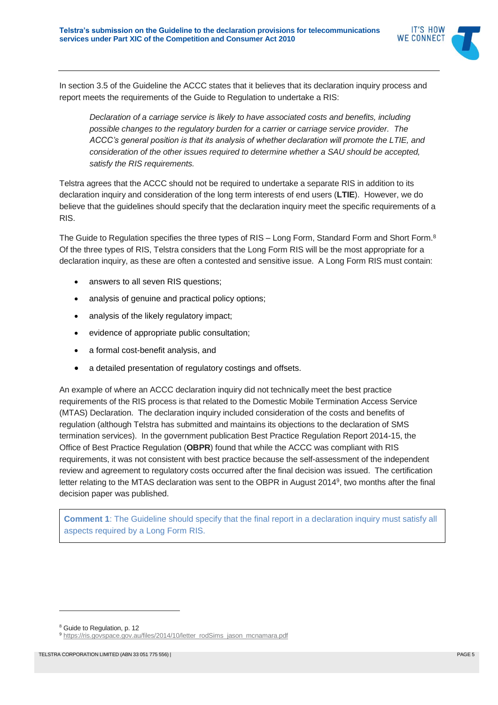

In section 3.5 of the Guideline the ACCC states that it believes that its declaration inquiry process and report meets the requirements of the Guide to Regulation to undertake a RIS:

*Declaration of a carriage service is likely to have associated costs and benefits, including possible changes to the regulatory burden for a carrier or carriage service provider. The ACCC's general position is that its analysis of whether declaration will promote the LTIE, and consideration of the other issues required to determine whether a SAU should be accepted, satisfy the RIS requirements.*

Telstra agrees that the ACCC should not be required to undertake a separate RIS in addition to its declaration inquiry and consideration of the long term interests of end users (**LTIE**). However, we do believe that the guidelines should specify that the declaration inquiry meet the specific requirements of a RIS.

The Guide to Regulation specifies the three types of RIS – Long Form, Standard Form and Short Form. $^8$ Of the three types of RIS, Telstra considers that the Long Form RIS will be the most appropriate for a declaration inquiry, as these are often a contested and sensitive issue. A Long Form RIS must contain:

- answers to all seven RIS questions;
- analysis of genuine and practical policy options;
- analysis of the likely regulatory impact;
- evidence of appropriate public consultation;
- a formal cost-benefit analysis, and
- a detailed presentation of regulatory costings and offsets.

An example of where an ACCC declaration inquiry did not technically meet the best practice requirements of the RIS process is that related to the Domestic Mobile Termination Access Service (MTAS) Declaration. The declaration inquiry included consideration of the costs and benefits of regulation (although Telstra has submitted and maintains its objections to the declaration of SMS termination services). In the government publication Best Practice Regulation Report 2014-15, the Office of Best Practice Regulation (**OBPR**) found that while the ACCC was compliant with RIS requirements, it was not consistent with best practice because the self-assessment of the independent review and agreement to regulatory costs occurred after the final decision was issued. The certification letter relating to the MTAS declaration was sent to the OBPR in August 2014<sup>9</sup>, two months after the final decision paper was published.

**Comment 1:** The Guideline should specify that the final report in a declaration inquiry must satisfy all aspects required by a Long Form RIS.

<sup>8</sup> Guide to Regulation, p. 12

<sup>9</sup> [https://ris.govspace.gov.au/files/2014/10/letter\\_rodSims\\_jason\\_mcnamara.pdf](https://ris.govspace.gov.au/files/2014/10/letter_rodSims_jason_mcnamara.pdf)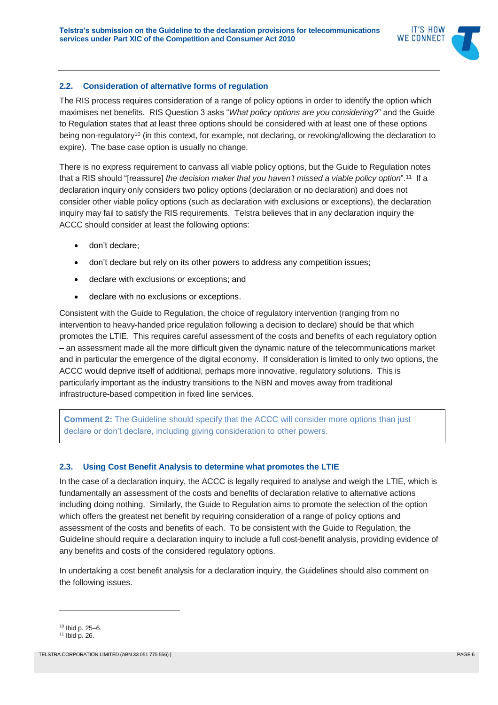#### **2.2. Consideration of alternative forms of regulation**

The RIS process requires consideration of a range of policy options in order to identify the option which maximises net benefits. RIS Question 3 asks "*What policy options are you considering?*" and the Guide to Regulation states that at least three options should be considered with at least one of these options being non-regulatory<sup>10</sup> (in this context, for example, not declaring, or revoking/allowing the declaration to expire). The base case option is usually no change.

There is no express requirement to canvass all viable policy options, but the Guide to Regulation notes that a RIS should "[reassure] *the decision maker that you haven't missed a viable policy option*". 11 If a declaration inquiry only considers two policy options (declaration or no declaration) and does not consider other viable policy options (such as declaration with exclusions or exceptions), the declaration inquiry may fail to satisfy the RIS requirements. Telstra believes that in any declaration inquiry the ACCC should consider at least the following options:

- don't declare:
- don't declare but rely on its other powers to address any competition issues;
- declare with exclusions or exceptions; and
- declare with no exclusions or exceptions.

Consistent with the Guide to Regulation, the choice of regulatory intervention (ranging from no intervention to heavy-handed price regulation following a decision to declare) should be that which promotes the LTIE. This requires careful assessment of the costs and benefits of each regulatory option – an assessment made all the more difficult given the dynamic nature of the telecommunications market and in particular the emergence of the digital economy. If consideration is limited to only two options, the ACCC would deprive itself of additional, perhaps more innovative, regulatory solutions. This is particularly important as the industry transitions to the NBN and moves away from traditional infrastructure-based competition in fixed line services.

**Comment 2:** The Guideline should specify that the ACCC will consider more options than just declare or don't declare, including giving consideration to other powers.

#### **2.3. Using Cost Benefit Analysis to determine what promotes the LTIE**

In the case of a declaration inquiry, the ACCC is legally required to analyse and weigh the LTIE, which is fundamentally an assessment of the costs and benefits of declaration relative to alternative actions including doing nothing. Similarly, the Guide to Regulation aims to promote the selection of the option which offers the greatest net benefit by requiring consideration of a range of policy options and assessment of the costs and benefits of each. To be consistent with the Guide to Regulation, the Guideline should require a declaration inquiry to include a full cost-benefit analysis, providing evidence of any benefits and costs of the considered regulatory options.

In undertaking a cost benefit analysis for a declaration inquiry, the Guidelines should also comment on the following issues.

<sup>10</sup> Ibid p. 25–6.

<sup>11</sup> Ibid p. 26.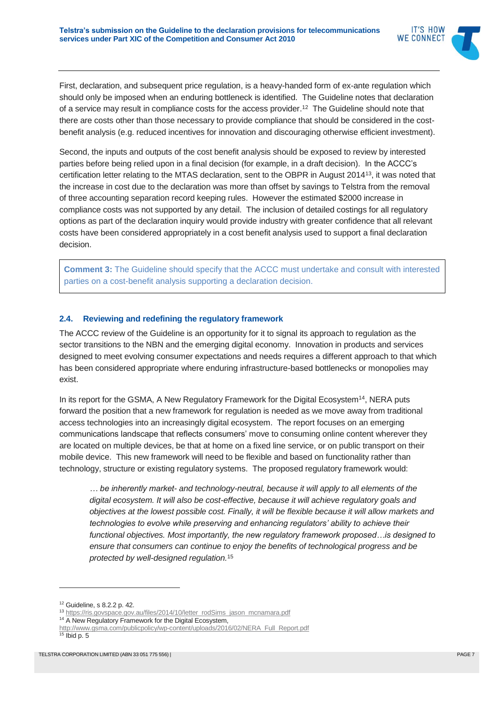

First, declaration, and subsequent price regulation, is a heavy-handed form of ex-ante regulation which should only be imposed when an enduring bottleneck is identified. The Guideline notes that declaration of a service may result in compliance costs for the access provider. 12 The Guideline should note that there are costs other than those necessary to provide compliance that should be considered in the costbenefit analysis (e.g. reduced incentives for innovation and discouraging otherwise efficient investment).

Second, the inputs and outputs of the cost benefit analysis should be exposed to review by interested parties before being relied upon in a final decision (for example, in a draft decision). In the ACCC's certification letter relating to the MTAS declaration, sent to the OBPR in August 2014<sup>13</sup>, it was noted that the increase in cost due to the declaration was more than offset by savings to Telstra from the removal of three accounting separation record keeping rules. However the estimated \$2000 increase in compliance costs was not supported by any detail. The inclusion of detailed costings for all regulatory options as part of the declaration inquiry would provide industry with greater confidence that all relevant costs have been considered appropriately in a cost benefit analysis used to support a final declaration decision.

**Comment 3:** The Guideline should specify that the ACCC must undertake and consult with interested parties on a cost-benefit analysis supporting a declaration decision.

#### **2.4. Reviewing and redefining the regulatory framework**

The ACCC review of the Guideline is an opportunity for it to signal its approach to regulation as the sector transitions to the NBN and the emerging digital economy. Innovation in products and services designed to meet evolving consumer expectations and needs requires a different approach to that which has been considered appropriate where enduring infrastructure-based bottlenecks or monopolies may exist.

In its report for the GSMA, A New Regulatory Framework for the Digital Ecosystem<sup>14</sup>, NERA puts forward the position that a new framework for regulation is needed as we move away from traditional access technologies into an increasingly digital ecosystem. The report focuses on an emerging communications landscape that reflects consumers' move to consuming online content wherever they are located on multiple devices, be that at home on a fixed line service, or on public transport on their mobile device. This new framework will need to be flexible and based on functionality rather than technology, structure or existing regulatory systems. The proposed regulatory framework would:

*… be inherently market- and technology-neutral, because it will apply to all elements of the digital ecosystem. It will also be cost-effective, because it will achieve regulatory goals and objectives at the lowest possible cost. Finally, it will be flexible because it will allow markets and technologies to evolve while preserving and enhancing regulators' ability to achieve their functional objectives. Most importantly, the new regulatory framework proposed…is designed to ensure that consumers can continue to enjoy the benefits of technological progress and be protected by well-designed regulation.*<sup>15</sup>

<sup>12</sup> Guideline, s 8.2.2 p. 42.

<sup>13</sup> [https://ris.govspace.gov.au/files/2014/10/letter\\_rodSims\\_jason\\_mcnamara.pdf](https://ris.govspace.gov.au/files/2014/10/letter_rodSims_jason_mcnamara.pdf)

<sup>&</sup>lt;sup>14</sup> A New Regulatory Framework for the Digital Ecosystem,

[http://www.gsma.com/publicpolicy/wp-content/uploads/2016/02/NERA\\_Full\\_Report.pdf](http://www.gsma.com/publicpolicy/wp-content/uploads/2016/02/NERA_Full_Report.pdf)

 $15$  Ibid p. 5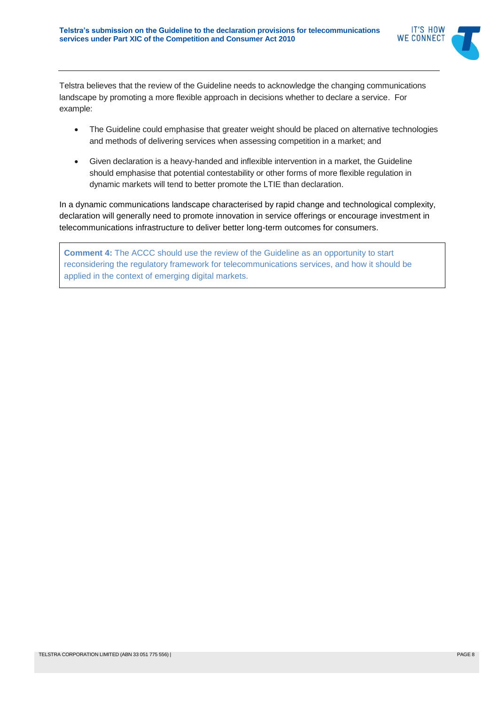

Telstra believes that the review of the Guideline needs to acknowledge the changing communications landscape by promoting a more flexible approach in decisions whether to declare a service. For example:

- The Guideline could emphasise that greater weight should be placed on alternative technologies and methods of delivering services when assessing competition in a market; and
- Given declaration is a heavy-handed and inflexible intervention in a market, the Guideline should emphasise that potential contestability or other forms of more flexible regulation in dynamic markets will tend to better promote the LTIE than declaration.

In a dynamic communications landscape characterised by rapid change and technological complexity, declaration will generally need to promote innovation in service offerings or encourage investment in telecommunications infrastructure to deliver better long-term outcomes for consumers.

**Comment 4:** The ACCC should use the review of the Guideline as an opportunity to start reconsidering the regulatory framework for telecommunications services, and how it should be applied in the context of emerging digital markets.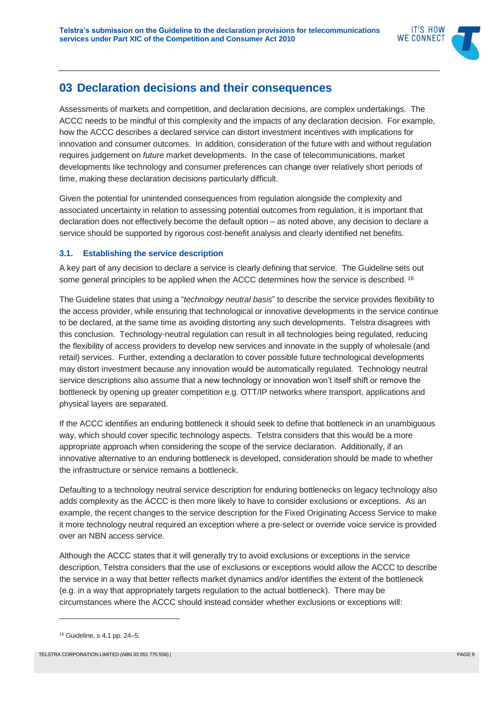

## **03 Declaration decisions and their consequences**

Assessments of markets and competition, and declaration decisions, are complex undertakings. The ACCC needs to be mindful of this complexity and the impacts of any declaration decision. For example, how the ACCC describes a declared service can distort investment incentives with implications for innovation and consumer outcomes. In addition, consideration of the future with and without regulation requires judgement on *future* market developments. In the case of telecommunications, market developments like technology and consumer preferences can change over relatively short periods of time, making these declaration decisions particularly difficult.

Given the potential for unintended consequences from regulation alongside the complexity and associated uncertainty in relation to assessing potential outcomes from regulation, it is important that declaration does not effectively become the default option – as noted above, any decision to declare a service should be supported by rigorous cost-benefit analysis and clearly identified net benefits.

#### **3.1. Establishing the service description**

A key part of any decision to declare a service is clearly defining that service. The Guideline sets out some general principles to be applied when the ACCC determines how the service is described. <sup>16</sup>

The Guideline states that using a "*technology neutral basis*" to describe the service provides flexibility to the access provider, while ensuring that technological or innovative developments in the service continue to be declared, at the same time as avoiding distorting any such developments. Telstra disagrees with this conclusion. Technology-neutral regulation can result in all technologies being regulated, reducing the flexibility of access providers to develop new services and innovate in the supply of wholesale (and retail) services. Further, extending a declaration to cover possible future technological developments may distort investment because any innovation would be automatically regulated. Technology neutral service descriptions also assume that a new technology or innovation won't itself shift or remove the bottleneck by opening up greater competition e.g. OTT/IP networks where transport, applications and physical layers are separated.

If the ACCC identifies an enduring bottleneck it should seek to define that bottleneck in an unambiguous way, which should cover specific technology aspects. Telstra considers that this would be a more appropriate approach when considering the scope of the service declaration. Additionally, if an innovative alternative to an enduring bottleneck is developed, consideration should be made to whether the infrastructure or service remains a bottleneck.

Defaulting to a technology neutral service description for enduring bottlenecks on legacy technology also adds complexity as the ACCC is then more likely to have to consider exclusions or exceptions. As an example, the recent changes to the service description for the Fixed Originating Access Service to make it more technology neutral required an exception where a pre-select or override voice service is provided over an NBN access service.

Although the ACCC states that it will generally try to avoid exclusions or exceptions in the service description, Telstra considers that the use of exclusions or exceptions would allow the ACCC to describe the service in a way that better reflects market dynamics and/or identifies the extent of the bottleneck (e.g. in a way that appropriately targets regulation to the actual bottleneck). There may be circumstances where the ACCC should instead consider whether exclusions or exceptions will:

<sup>16</sup> Guideline, s 4.1 pp. 24–5.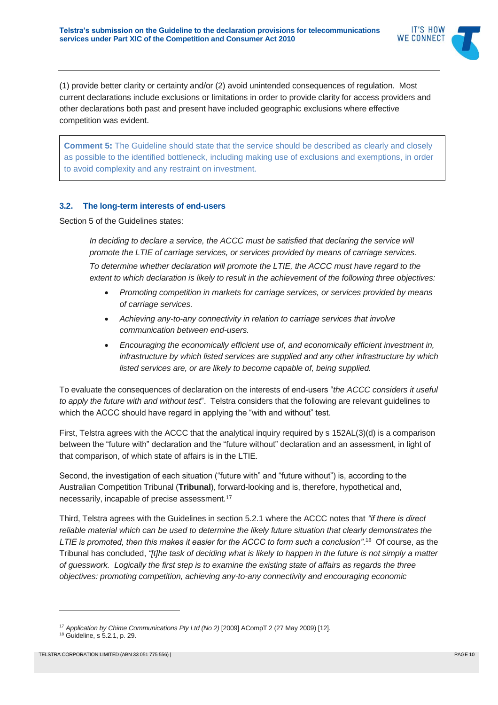

(1) provide better clarity or certainty and/or (2) avoid unintended consequences of regulation. Most current declarations include exclusions or limitations in order to provide clarity for access providers and other declarations both past and present have included geographic exclusions where effective competition was evident.

**Comment 5:** The Guideline should state that the service should be described as clearly and closely as possible to the identified bottleneck, including making use of exclusions and exemptions, in order to avoid complexity and any restraint on investment.

#### **3.2. The long-term interests of end-users**

Section 5 of the Guidelines states:

In deciding to declare a service, the ACCC must be satisfied that declaring the service will *promote the LTIE of carriage services, or services provided by means of carriage services. To determine whether declaration will promote the LTIE, the ACCC must have regard to the extent to which declaration is likely to result in the achievement of the following three objectives:*

- *Promoting competition in markets for carriage services, or services provided by means of carriage services.*
- *Achieving any-to-any connectivity in relation to carriage services that involve communication between end-users.*
- *Encouraging the economically efficient use of, and economically efficient investment in, infrastructure by which listed services are supplied and any other infrastructure by which listed services are, or are likely to become capable of, being supplied.*

To evaluate the consequences of declaration on the interests of end-users "*the ACCC considers it useful to apply the future with and without test*". Telstra considers that the following are relevant guidelines to which the ACCC should have regard in applying the "with and without" test.

First, Telstra agrees with the ACCC that the analytical inquiry required by s 152AL(3)(d) is a comparison between the "future with" declaration and the "future without" declaration and an assessment, in light of that comparison, of which state of affairs is in the LTIE.

Second, the investigation of each situation ("future with" and "future without") is, according to the Australian Competition Tribunal (**Tribunal**), forward-looking and is, therefore, hypothetical and, necessarily, incapable of precise assessment.<sup>17</sup>

Third, Telstra agrees with the Guidelines in section 5.2.1 where the ACCC notes that *"if there is direct reliable material which can be used to determine the likely future situation that clearly demonstrates the LTIE is promoted, then this makes it easier for the ACCC to form such a conclusion"*. <sup>18</sup> Of course, as the Tribunal has concluded, *"[t]he task of deciding what is likely to happen in the future is not simply a matter of guesswork. Logically the first step is to examine the existing state of affairs as regards the three objectives: promoting competition, achieving any-to-any connectivity and encouraging economic* 

<sup>&</sup>lt;sup>17</sup> Application by Chime Communications Pty Ltd (No 2) [2009] ACompT 2 (27 May 2009) [12].

<sup>18</sup> Guideline, s 5.2.1, p. 29.